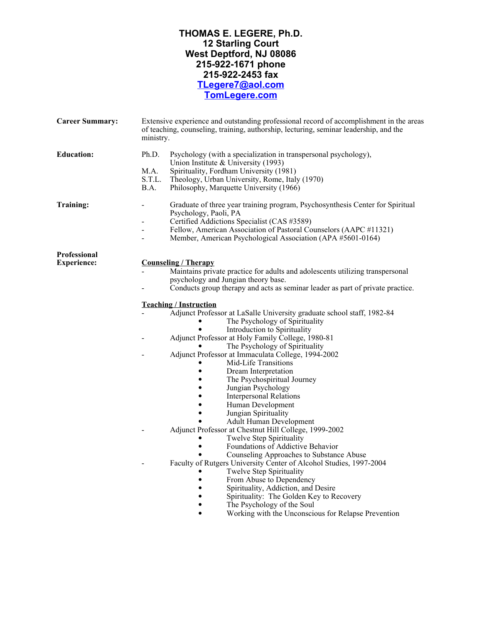# **THOMAS E. LEGERE, Ph.D. 12 Starling Court West Deptford, NJ 08086 215-922-1671 phone 215-922-2453 fax [TLegere7@aol.com](mailto:tlegere7@aol.com) [TomLegere.](http://www.tomlegere.com)[com](https://TomLegere.com)**

| <b>Career Summary:</b> | Extensive experience and outstanding professional record of accomplishment in the areas<br>of teaching, counseling, training, authorship, lecturing, seminar leadership, and the<br>ministry.                                                                                                                                                                                                                        |  |  |  |
|------------------------|----------------------------------------------------------------------------------------------------------------------------------------------------------------------------------------------------------------------------------------------------------------------------------------------------------------------------------------------------------------------------------------------------------------------|--|--|--|
| <b>Education:</b>      | Ph.D.<br>Psychology (with a specialization in transpersonal psychology),<br>Union Institute & University (1993)<br>M.A.<br>Spirituality, Fordham University (1981)<br>S.T.L.<br>Theology, Urban University, Rome, Italy (1970)<br>B.A.<br>Philosophy, Marquette University (1966)                                                                                                                                    |  |  |  |
| Training:              | Graduate of three year training program, Psychosynthesis Center for Spiritual<br>Psychology, Paoli, PA<br>Certified Addictions Specialist (CAS #3589)<br>Fellow, American Association of Pastoral Counselors (AAPC #11321)<br>Member, American Psychological Association (APA #5601-0164)                                                                                                                            |  |  |  |
| <b>Professional</b>    |                                                                                                                                                                                                                                                                                                                                                                                                                      |  |  |  |
| <b>Experience:</b>     | <b>Counseling / Therapy</b><br>Maintains private practice for adults and adolescents utilizing transpersonal<br>psychology and Jungian theory base.<br>Conducts group therapy and acts as seminar leader as part of private practice.                                                                                                                                                                                |  |  |  |
|                        | <b>Teaching / Instruction</b>                                                                                                                                                                                                                                                                                                                                                                                        |  |  |  |
|                        | Adjunct Professor at LaSalle University graduate school staff, 1982-84<br>The Psychology of Spirituality<br>Introduction to Spirituality<br>Adjunct Professor at Holy Family College, 1980-81<br>The Psychology of Spirituality<br>Adjunct Professor at Immaculata College, 1994-2002<br>Mid-Life Transitions<br>Dream Interpretation<br>$\bullet$<br>The Psychospiritual Journey<br>Jungian Psychology<br>$\bullet$ |  |  |  |
|                        | <b>Interpersonal Relations</b><br>Human Development<br>Jungian Spirituality                                                                                                                                                                                                                                                                                                                                          |  |  |  |
|                        | Adult Human Development<br>Adjunct Professor at Chestnut Hill College, 1999-2002<br>Twelve Step Spirituality<br>Foundations of Addictive Behavior<br>Counseling Approaches to Substance Abuse<br>Faculty of Rutgers University Center of Alcohol Studies, 1997-2004<br>Twelve Step Spirituality<br>From Abuse to Dependency<br>$\bullet$<br>Spirituality, Addiction, and Desire                                      |  |  |  |
|                        | Spirituality: The Golden Key to Recovery<br>$\bullet$<br>The Psychology of the Soul<br>Working with the Unconscious for Relapse Prevention                                                                                                                                                                                                                                                                           |  |  |  |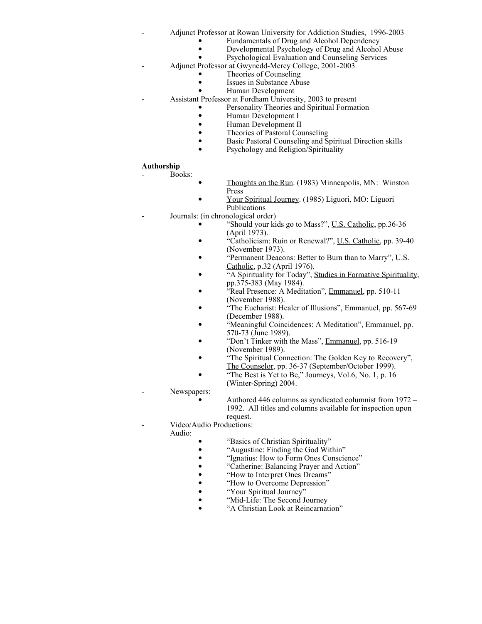- Adjunct Professor at Rowan University for Addiction Studies, 1996-2003
	- Fundamentals of Drug and Alcohol Dependency
	- Developmental Psychology of Drug and Alcohol Abuse
	- · Psychological Evaluation and Counseling Services
	- Adjunct Professor at Gwynedd-Mercy College, 2001-2003
		- Theories of Counseling
			- Issues in Substance Abuse
			- · Human Development
- Assistant Professor at Fordham University, 2003 to present
	- Personality Theories and Spiritual Formation
		- · Human Development I
		- · Human Development II
		- Theories of Pastoral Counseling
		- · Basic Pastoral Counseling and Spiritual Direction skills
		- Psychology and Religion/Spirituality

#### **Authorship**

Books:

- Thoughts on the Run. (1983) Minneapolis, MN: Winston Press
- · Your Spiritual Journey. (1985) Liguori, MO: Liguori Publications
- Journals: (in chronological order)
	- "Should your kids go to Mass?", U.S. Catholic, pp.36-36 (April 1973).
	- "Catholicism: Ruin or Renewal?", U.S. Catholic, pp. 39-40 (November 1973).
	- "Permanent Deacons: Better to Burn than to Marry", U.S. Catholic, p.32 (April 1976).
	- · "A Spirituality for Today", Studies in Formative Spirituality, pp.375-383 (May 1984).
	- · "Real Presence: A Meditation", Emmanuel, pp. 510-11 (November 1988).
		- <sup>"</sup>The Eucharist: Healer of Illusions", Emmanuel, pp. 567-69 (December 1988).
	- "Meaningful Coincidences: A Meditation", Emmanuel, pp. 570-73 (June 1989).
	- · "Don't Tinker with the Mass", Emmanuel, pp. 516-19 (November 1989).
	- · "The Spiritual Connection: The Golden Key to Recovery", The Counselor, pp. 36-37 (September/October 1999).
		-
	- "The Best is Yet to Be," Journeys, Vol.6, No. 1, p. 16 (Winter-Spring) 2004.
- Newspapers:
	- Authored 446 columns as syndicated columnist from 1972 1992. All titles and columns available for inspection upon request.
- Video/Audio Productions:

Audio:

- The "Basics of Christian Spirituality"<br>• The "Augustine: Finding the God Wit
	- · "Augustine: Finding the God Within"
- "Ignatius: How to Form Ones Conscience"<br>• "Catherine: Balancing Prayer and Action"
- "Catherine: Balancing Prayer and Action"<br>• "How to Interpret Ones Dreams"
- "How to Interpret Ones Dreams"<br>• "How to Overcome Depression"
- "How to Overcome Depression"<br>• "Your Spiritual Journey"
- 
- "Your Spiritual Journey"<br>• "Mid-Life: The Second J · "Mid-Life: The Second Journey
- · "A Christian Look at Reincarnation"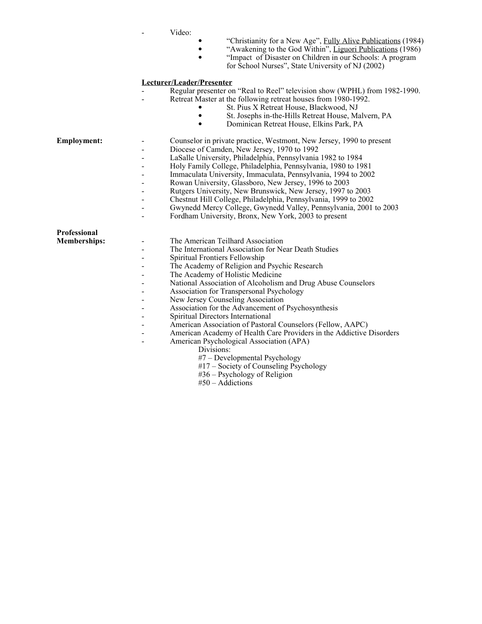| Video: |
|--------|
|        |

- "Christianity for a New Age", Fully Alive Publications (1984)
- "Awakening to the God Within", Liguori Publications (1986)
- · "Impact of Disaster on Children in our Schools: A program for School Nurses", State University of NJ (2002)

#### **Lecturer/Leader/Presenter**

- Regular presenter on "Real to Reel" television show (WPHL) from 1982-1990.
	- Retreat Master at the following retreat houses from 1980-1992.
		- St. Pius X Retreat House, Blackwood, NJ<br>• St. Josephs in-the-Hills Retreat House Ma
		- St. Josephs in-the-Hills Retreat House, Malvern, PA
		- · Dominican Retreat House, Elkins Park, PA

- **Employment:** Counselor in private practice, Westmont, New Jersey, 1990 to present
	- Diocese of Camden, New Jersey, 1970 to 1992
	- LaSalle University, Philadelphia, Pennsylvania 1982 to 1984
	- Holy Family College, Philadelphia, Pennsylvania, 1980 to 1981
	- Immaculata University, Immaculata, Pennsylvania, 1994 to 2002
		- Rowan University, Glassboro, New Jersey, 1996 to 2003
	- Rutgers University, New Brunswick, New Jersey, 1997 to 2003

The International Association for Near Death Studies

- Chestnut Hill College, Philadelphia, Pennsylvania, 1999 to 2002
- Gwynedd Mercy College, Gwynedd Valley, Pennsylvania, 2001 to 2003
- Fordham University, Bronx, New York, 2003 to present

The Academy of Religion and Psychic Research

| <b>Professional</b> |  |
|---------------------|--|
| <b>Memberships:</b> |  |
|                     |  |
|                     |  |
|                     |  |
|                     |  |
|                     |  |
|                     |  |
|                     |  |

Association for the Advancement of Psychosynthesis

- Association for Transpersonal Psychology New Jersey Counseling Association

- Spiritual Directors International
- American Association of Pastoral Counselors (Fellow, AAPC)
- American Academy of Health Care Providers in the Addictive Disorders

National Association of Alcoholism and Drug Abuse Counselors

American Psychological Association (APA)

The American Teilhard Association

The Academy of Holistic Medicine

Spiritual Frontiers Fellowship

- Divisions:
- #7 Developmental Psychology
- #17 Society of Counseling Psychology
- #36 Psychology of Religion
- #50 Addictions